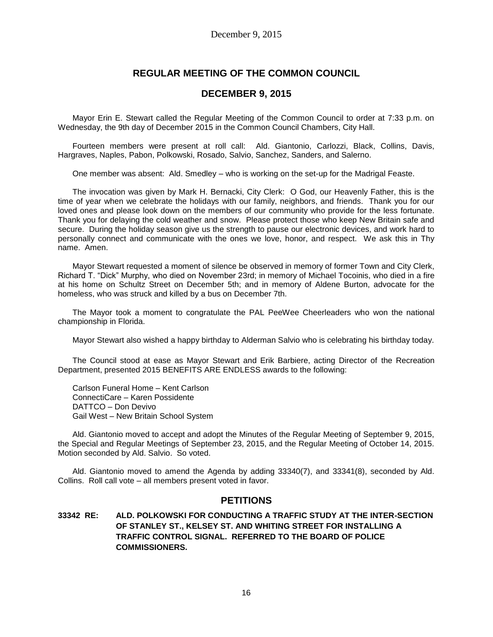# **REGULAR MEETING OF THE COMMON COUNCIL**

## **DECEMBER 9, 2015**

Mayor Erin E. Stewart called the Regular Meeting of the Common Council to order at 7:33 p.m. on Wednesday, the 9th day of December 2015 in the Common Council Chambers, City Hall.

Fourteen members were present at roll call: Ald. Giantonio, Carlozzi, Black, Collins, Davis, Hargraves, Naples, Pabon, Polkowski, Rosado, Salvio, Sanchez, Sanders, and Salerno.

One member was absent: Ald. Smedley – who is working on the set-up for the Madrigal Feaste.

The invocation was given by Mark H. Bernacki, City Clerk: O God, our Heavenly Father, this is the time of year when we celebrate the holidays with our family, neighbors, and friends. Thank you for our loved ones and please look down on the members of our community who provide for the less fortunate. Thank you for delaying the cold weather and snow. Please protect those who keep New Britain safe and secure. During the holiday season give us the strength to pause our electronic devices, and work hard to personally connect and communicate with the ones we love, honor, and respect. We ask this in Thy name. Amen.

Mayor Stewart requested a moment of silence be observed in memory of former Town and City Clerk, Richard T. "Dick" Murphy, who died on November 23rd; in memory of Michael Tocoinis, who died in a fire at his home on Schultz Street on December 5th; and in memory of Aldene Burton, advocate for the homeless, who was struck and killed by a bus on December 7th.

The Mayor took a moment to congratulate the PAL PeeWee Cheerleaders who won the national championship in Florida.

Mayor Stewart also wished a happy birthday to Alderman Salvio who is celebrating his birthday today.

The Council stood at ease as Mayor Stewart and Erik Barbiere, acting Director of the Recreation Department, presented 2015 BENEFITS ARE ENDLESS awards to the following:

Carlson Funeral Home – Kent Carlson ConnectiCare – Karen Possidente DATTCO – Don Devivo Gail West – New Britain School System

Ald. Giantonio moved to accept and adopt the Minutes of the Regular Meeting of September 9, 2015, the Special and Regular Meetings of September 23, 2015, and the Regular Meeting of October 14, 2015. Motion seconded by Ald. Salvio. So voted.

Ald. Giantonio moved to amend the Agenda by adding 33340(7), and 33341(8), seconded by Ald. Collins. Roll call vote – all members present voted in favor.

# **PETITIONS**

## **33342 RE: ALD. POLKOWSKI FOR CONDUCTING A TRAFFIC STUDY AT THE INTER-SECTION OF STANLEY ST., KELSEY ST. AND WHITING STREET FOR INSTALLING A TRAFFIC CONTROL SIGNAL. REFERRED TO THE BOARD OF POLICE COMMISSIONERS.**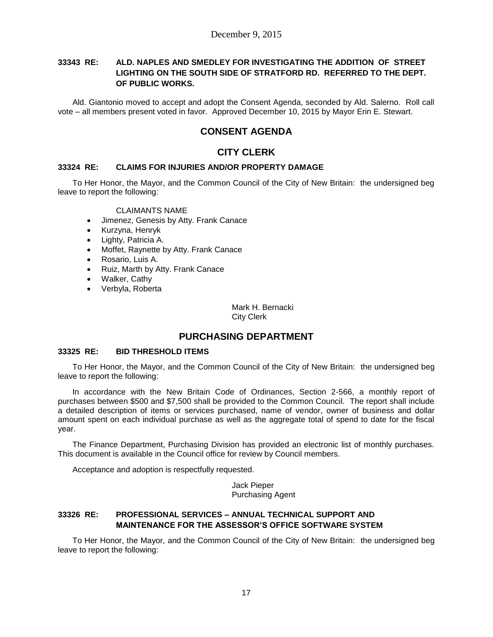## **33343 RE: ALD. NAPLES AND SMEDLEY FOR INVESTIGATING THE ADDITION OF STREET LIGHTING ON THE SOUTH SIDE OF STRATFORD RD. REFERRED TO THE DEPT. OF PUBLIC WORKS.**

Ald. Giantonio moved to accept and adopt the Consent Agenda, seconded by Ald. Salerno. Roll call vote – all members present voted in favor. Approved December 10, 2015 by Mayor Erin E. Stewart.

# **CONSENT AGENDA**

# **CITY CLERK**

### **33324 RE: CLAIMS FOR INJURIES AND/OR PROPERTY DAMAGE**

To Her Honor, the Mayor, and the Common Council of the City of New Britain: the undersigned beg leave to report the following:

#### CLAIMANTS NAME

- Jimenez, Genesis by Atty. Frank Canace
- Kurzyna, Henryk
- Lighty, Patricia A.
- Moffet, Raynette by Atty. Frank Canace
- Rosario, Luis A.
- Ruiz, Marth by Atty. Frank Canace
- Walker, Cathy
- Verbyla, Roberta

Mark H. Bernacki City Clerk

# **PURCHASING DEPARTMENT**

### **33325 RE: BID THRESHOLD ITEMS**

To Her Honor, the Mayor, and the Common Council of the City of New Britain: the undersigned beg leave to report the following:

In accordance with the New Britain Code of Ordinances, Section 2-566, a monthly report of purchases between \$500 and \$7,500 shall be provided to the Common Council. The report shall include a detailed description of items or services purchased, name of vendor, owner of business and dollar amount spent on each individual purchase as well as the aggregate total of spend to date for the fiscal year.

The Finance Department, Purchasing Division has provided an electronic list of monthly purchases. This document is available in the Council office for review by Council members.

Acceptance and adoption is respectfully requested.

Jack Pieper Purchasing Agent

## **33326 RE: PROFESSIONAL SERVICES – ANNUAL TECHNICAL SUPPORT AND MAINTENANCE FOR THE ASSESSOR'S OFFICE SOFTWARE SYSTEM**

To Her Honor, the Mayor, and the Common Council of the City of New Britain: the undersigned beg leave to report the following: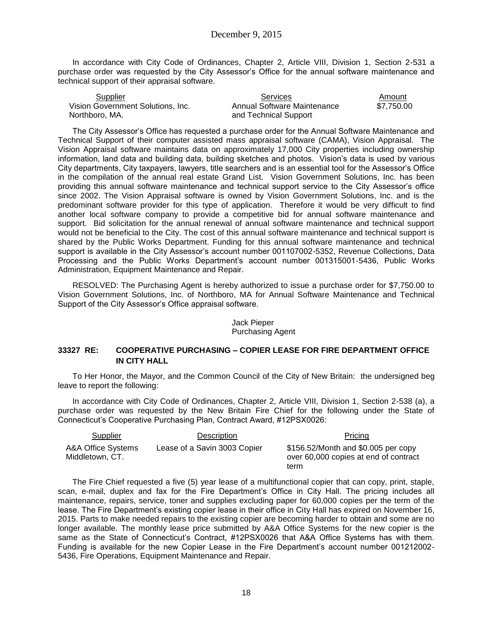In accordance with City Code of Ordinances, Chapter 2, Article VIII, Division 1, Section 2-531 a purchase order was requested by the City Assessor's Office for the annual software maintenance and technical support of their appraisal software.

| Supplier                          | <b>Services</b>             | Amount     |
|-----------------------------------|-----------------------------|------------|
| Vision Government Solutions, Inc. | Annual Software Maintenance | \$7.750.00 |
| Northboro, MA.                    | and Technical Support       |            |

The City Assessor's Office has requested a purchase order for the Annual Software Maintenance and Technical Support of their computer assisted mass appraisal software (CAMA), Vision Appraisal. The Vision Appraisal software maintains data on approximately 17,000 City properties including ownership information, land data and building data, building sketches and photos. Vision's data is used by various City departments, City taxpayers, lawyers, title searchers and is an essential tool for the Assessor's Office in the compilation of the annual real estate Grand List. Vision Government Solutions, Inc. has been providing this annual software maintenance and technical support service to the City Assessor's office since 2002. The Vision Appraisal software is owned by Vision Government Solutions, Inc. and is the predominant software provider for this type of application. Therefore it would be very difficult to find another local software company to provide a competitive bid for annual software maintenance and support. Bid solicitation for the annual renewal of annual software maintenance and technical support would not be beneficial to the City. The cost of this annual software maintenance and technical support is shared by the Public Works Department. Funding for this annual software maintenance and technical support is available in the City Assessor's account number 001107002-5352, Revenue Collections, Data Processing and the Public Works Department's account number 001315001-5436, Public Works Administration, Equipment Maintenance and Repair.

RESOLVED: The Purchasing Agent is hereby authorized to issue a purchase order for \$7,750.00 to Vision Government Solutions, Inc. of Northboro, MA for Annual Software Maintenance and Technical Support of the City Assessor's Office appraisal software.

### Jack Pieper Purchasing Agent

## **33327 RE: COOPERATIVE PURCHASING – COPIER LEASE FOR FIRE DEPARTMENT OFFICE IN CITY HALL**

To Her Honor, the Mayor, and the Common Council of the City of New Britain: the undersigned beg leave to report the following:

In accordance with City Code of Ordinances, Chapter 2, Article VIII, Division 1, Section 2-538 (a), a purchase order was requested by the New Britain Fire Chief for the following under the State of Connecticut's Cooperative Purchasing Plan, Contract Award, #12PSX0026:

| Supplier                              | Description                  | Pricing                                                                              |
|---------------------------------------|------------------------------|--------------------------------------------------------------------------------------|
| A&A Office Systems<br>Middletown, CT. | Lease of a Savin 3003 Copier | \$156.52/Month and \$0.005 per copy<br>over 60,000 copies at end of contract<br>term |

The Fire Chief requested a five (5) year lease of a multifunctional copier that can copy, print, staple, scan, e-mail, duplex and fax for the Fire Department's Office in City Hall. The pricing includes all maintenance, repairs, service, toner and supplies excluding paper for 60,000 copies per the term of the lease. The Fire Department's existing copier lease in their office in City Hall has expired on November 16, 2015. Parts to make needed repairs to the existing copier are becoming harder to obtain and some are no longer available. The monthly lease price submitted by A&A Office Systems for the new copier is the same as the State of Connecticut's Contract, #12PSX0026 that A&A Office Systems has with them. Funding is available for the new Copier Lease in the Fire Department's account number 001212002- 5436, Fire Operations, Equipment Maintenance and Repair.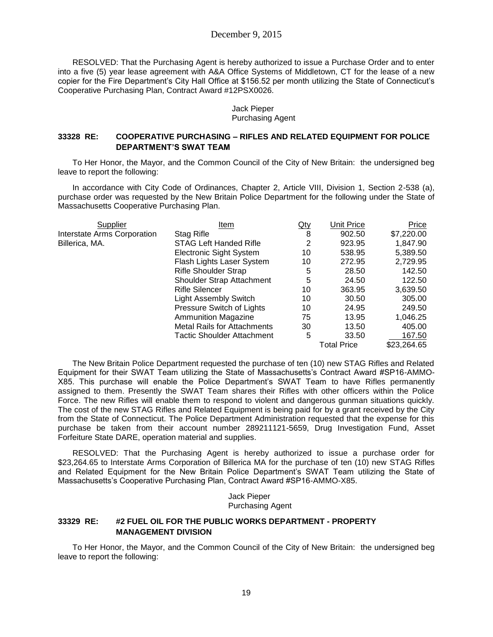## December 9, 2015

RESOLVED: That the Purchasing Agent is hereby authorized to issue a Purchase Order and to enter into a five (5) year lease agreement with A&A Office Systems of Middletown, CT for the lease of a new copier for the Fire Department's City Hall Office at \$156.52 per month utilizing the State of Connecticut's Cooperative Purchasing Plan, Contract Award #12PSX0026.

#### Jack Pieper Purchasing Agent

### **33328 RE: COOPERATIVE PURCHASING – RIFLES AND RELATED EQUIPMENT FOR POLICE DEPARTMENT'S SWAT TEAM**

To Her Honor, the Mayor, and the Common Council of the City of New Britain: the undersigned beg leave to report the following:

In accordance with City Code of Ordinances, Chapter 2, Article VIII, Division 1, Section 2-538 (a), purchase order was requested by the New Britain Police Department for the following under the State of Massachusetts Cooperative Purchasing Plan.

| Supplier                    | Item                               | Qty | Unit Price         | Price       |
|-----------------------------|------------------------------------|-----|--------------------|-------------|
| Interstate Arms Corporation | Stag Rifle                         | 8   | 902.50             | \$7,220.00  |
| Billerica, MA.              | <b>STAG Left Handed Rifle</b>      | 2   | 923.95             | 1,847.90    |
|                             | <b>Electronic Sight System</b>     | 10  | 538.95             | 5,389.50    |
|                             | Flash Lights Laser System          | 10  | 272.95             | 2,729.95    |
|                             | <b>Rifle Shoulder Strap</b>        | 5   | 28.50              | 142.50      |
|                             | Shoulder Strap Attachment          | 5   | 24.50              | 122.50      |
|                             | <b>Rifle Silencer</b>              | 10  | 363.95             | 3,639.50    |
|                             | <b>Light Assembly Switch</b>       | 10  | 30.50              | 305.00      |
|                             | Pressure Switch of Lights          | 10  | 24.95              | 249.50      |
|                             | <b>Ammunition Magazine</b>         | 75  | 13.95              | 1,046.25    |
|                             | <b>Metal Rails for Attachments</b> | 30  | 13.50              | 405.00      |
|                             | Tactic Shoulder Attachment         | 5   | 33.50              | 167.50      |
|                             |                                    |     | <b>Total Price</b> | \$23,264.65 |

The New Britain Police Department requested the purchase of ten (10) new STAG Rifles and Related Equipment for their SWAT Team utilizing the State of Massachusetts's Contract Award #SP16-AMMO-X85. This purchase will enable the Police Department's SWAT Team to have Rifles permanently assigned to them. Presently the SWAT Team shares their Rifles with other officers within the Police Force. The new Rifles will enable them to respond to violent and dangerous gunman situations quickly. The cost of the new STAG Rifles and Related Equipment is being paid for by a grant received by the City from the State of Connecticut. The Police Department Administration requested that the expense for this purchase be taken from their account number 289211121-5659, Drug Investigation Fund, Asset Forfeiture State DARE, operation material and supplies.

RESOLVED: That the Purchasing Agent is hereby authorized to issue a purchase order for \$23,264.65 to Interstate Arms Corporation of Billerica MA for the purchase of ten (10) new STAG Rifles and Related Equipment for the New Britain Police Department's SWAT Team utilizing the State of Massachusetts's Cooperative Purchasing Plan, Contract Award #SP16-AMMO-X85.

> Jack Pieper Purchasing Agent

## **33329 RE: #2 FUEL OIL FOR THE PUBLIC WORKS DEPARTMENT - PROPERTY MANAGEMENT DIVISION**

To Her Honor, the Mayor, and the Common Council of the City of New Britain: the undersigned beg leave to report the following: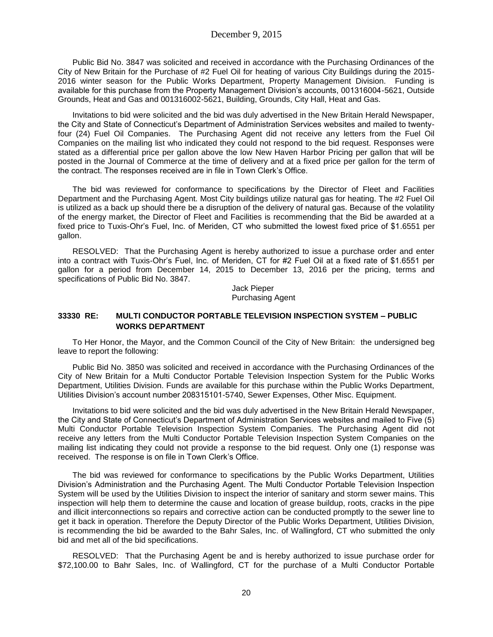Public Bid No. 3847 was solicited and received in accordance with the Purchasing Ordinances of the City of New Britain for the Purchase of #2 Fuel Oil for heating of various City Buildings during the 2015- 2016 winter season for the Public Works Department, Property Management Division. Funding is available for this purchase from the Property Management Division's accounts, 001316004-5621, Outside Grounds, Heat and Gas and 001316002-5621, Building, Grounds, City Hall, Heat and Gas.

Invitations to bid were solicited and the bid was duly advertised in the New Britain Herald Newspaper, the City and State of Connecticut's Department of Administration Services websites and mailed to twentyfour (24) Fuel Oil Companies. The Purchasing Agent did not receive any letters from the Fuel Oil Companies on the mailing list who indicated they could not respond to the bid request. Responses were stated as a differential price per gallon above the low New Haven Harbor Pricing per gallon that will be posted in the Journal of Commerce at the time of delivery and at a fixed price per gallon for the term of the contract. The responses received are in file in Town Clerk's Office.

The bid was reviewed for conformance to specifications by the Director of Fleet and Facilities Department and the Purchasing Agent. Most City buildings utilize natural gas for heating. The #2 Fuel Oil is utilized as a back up should there be a disruption of the delivery of natural gas. Because of the volatility of the energy market, the Director of Fleet and Facilities is recommending that the Bid be awarded at a fixed price to Tuxis-Ohr's Fuel, Inc. of Meriden, CT who submitted the lowest fixed price of \$1.6551 per gallon.

RESOLVED: That the Purchasing Agent is hereby authorized to issue a purchase order and enter into a contract with Tuxis-Ohr's Fuel, Inc. of Meriden, CT for #2 Fuel Oil at a fixed rate of \$1.6551 per gallon for a period from December 14, 2015 to December 13, 2016 per the pricing, terms and specifications of Public Bid No. 3847.

Jack Pieper Purchasing Agent

### **33330 RE: MULTI CONDUCTOR PORTABLE TELEVISION INSPECTION SYSTEM – PUBLIC WORKS DEPARTMENT**

To Her Honor, the Mayor, and the Common Council of the City of New Britain: the undersigned beg leave to report the following:

Public Bid No. 3850 was solicited and received in accordance with the Purchasing Ordinances of the City of New Britain for a Multi Conductor Portable Television Inspection System for the Public Works Department, Utilities Division. Funds are available for this purchase within the Public Works Department, Utilities Division's account number 208315101-5740, Sewer Expenses, Other Misc. Equipment.

Invitations to bid were solicited and the bid was duly advertised in the New Britain Herald Newspaper, the City and State of Connecticut's Department of Administration Services websites and mailed to Five (5) Multi Conductor Portable Television Inspection System Companies. The Purchasing Agent did not receive any letters from the Multi Conductor Portable Television Inspection System Companies on the mailing list indicating they could not provide a response to the bid request. Only one (1) response was received. The response is on file in Town Clerk's Office.

The bid was reviewed for conformance to specifications by the Public Works Department, Utilities Division's Administration and the Purchasing Agent. The Multi Conductor Portable Television Inspection System will be used by the Utilities Division to inspect the interior of sanitary and storm sewer mains. This inspection will help them to determine the cause and location of grease buildup, roots, cracks in the pipe and illicit interconnections so repairs and corrective action can be conducted promptly to the sewer line to get it back in operation. Therefore the Deputy Director of the Public Works Department, Utilities Division, is recommending the bid be awarded to the Bahr Sales, Inc. of Wallingford, CT who submitted the only bid and met all of the bid specifications.

RESOLVED: That the Purchasing Agent be and is hereby authorized to issue purchase order for \$72,100.00 to Bahr Sales, Inc. of Wallingford, CT for the purchase of a Multi Conductor Portable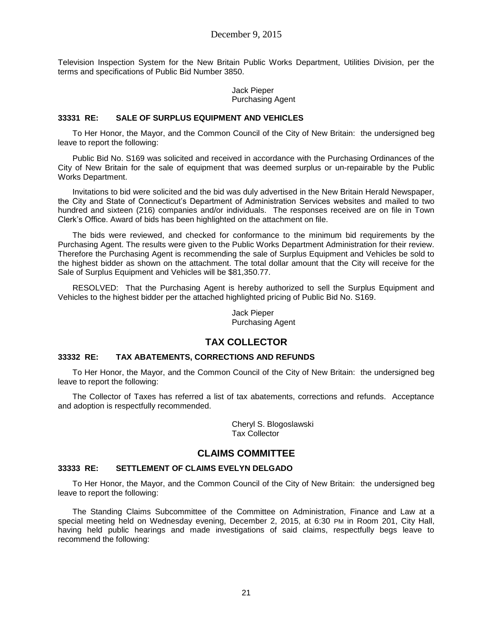Television Inspection System for the New Britain Public Works Department, Utilities Division, per the terms and specifications of Public Bid Number 3850.

> Jack Pieper Purchasing Agent

### **33331 RE: SALE OF SURPLUS EQUIPMENT AND VEHICLES**

To Her Honor, the Mayor, and the Common Council of the City of New Britain: the undersigned beg leave to report the following:

Public Bid No. S169 was solicited and received in accordance with the Purchasing Ordinances of the City of New Britain for the sale of equipment that was deemed surplus or un-repairable by the Public Works Department.

Invitations to bid were solicited and the bid was duly advertised in the New Britain Herald Newspaper, the City and State of Connecticut's Department of Administration Services websites and mailed to two hundred and sixteen (216) companies and/or individuals. The responses received are on file in Town Clerk's Office. Award of bids has been highlighted on the attachment on file.

The bids were reviewed, and checked for conformance to the minimum bid requirements by the Purchasing Agent. The results were given to the Public Works Department Administration for their review. Therefore the Purchasing Agent is recommending the sale of Surplus Equipment and Vehicles be sold to the highest bidder as shown on the attachment. The total dollar amount that the City will receive for the Sale of Surplus Equipment and Vehicles will be \$81,350.77.

RESOLVED: That the Purchasing Agent is hereby authorized to sell the Surplus Equipment and Vehicles to the highest bidder per the attached highlighted pricing of Public Bid No. S169.

> Jack Pieper Purchasing Agent

# **TAX COLLECTOR**

### **33332 RE: TAX ABATEMENTS, CORRECTIONS AND REFUNDS**

To Her Honor, the Mayor, and the Common Council of the City of New Britain: the undersigned beg leave to report the following:

The Collector of Taxes has referred a list of tax abatements, corrections and refunds. Acceptance and adoption is respectfully recommended.

> Cheryl S. Blogoslawski Tax Collector

# **CLAIMS COMMITTEE**

### **33333 RE: SETTLEMENT OF CLAIMS EVELYN DELGADO**

To Her Honor, the Mayor, and the Common Council of the City of New Britain: the undersigned beg leave to report the following:

The Standing Claims Subcommittee of the Committee on Administration, Finance and Law at a special meeting held on Wednesday evening, December 2, 2015, at 6:30 PM in Room 201, City Hall, having held public hearings and made investigations of said claims, respectfully begs leave to recommend the following: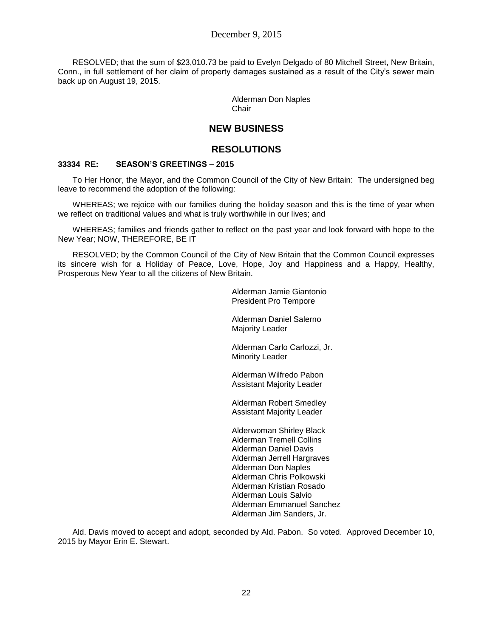RESOLVED; that the sum of \$23,010.73 be paid to Evelyn Delgado of 80 Mitchell Street, New Britain, Conn., in full settlement of her claim of property damages sustained as a result of the City's sewer main back up on August 19, 2015.

> Alderman Don Naples Chair

# **NEW BUSINESS**

# **RESOLUTIONS**

### **33334 RE: SEASON'S GREETINGS – 2015**

To Her Honor, the Mayor, and the Common Council of the City of New Britain: The undersigned beg leave to recommend the adoption of the following:

WHEREAS; we rejoice with our families during the holiday season and this is the time of year when we reflect on traditional values and what is truly worthwhile in our lives; and

WHEREAS; families and friends gather to reflect on the past year and look forward with hope to the New Year; NOW, THEREFORE, BE IT

RESOLVED; by the Common Council of the City of New Britain that the Common Council expresses its sincere wish for a Holiday of Peace, Love, Hope, Joy and Happiness and a Happy, Healthy, Prosperous New Year to all the citizens of New Britain.

> Alderman Jamie Giantonio President Pro Tempore

Alderman Daniel Salerno Majority Leader

Alderman Carlo Carlozzi, Jr. Minority Leader

Alderman Wilfredo Pabon Assistant Majority Leader

Alderman Robert Smedley Assistant Majority Leader

Alderwoman Shirley Black Alderman Tremell Collins Alderman Daniel Davis Alderman Jerrell Hargraves Alderman Don Naples Alderman Chris Polkowski Alderman Kristian Rosado Alderman Louis Salvio Alderman Emmanuel Sanchez Alderman Jim Sanders, Jr.

Ald. Davis moved to accept and adopt, seconded by Ald. Pabon. So voted. Approved December 10, 2015 by Mayor Erin E. Stewart.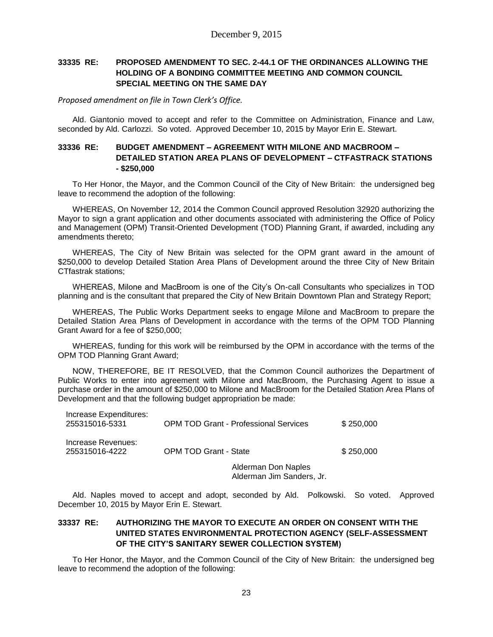## **33335 RE: PROPOSED AMENDMENT TO SEC. 2-44.1 OF THE ORDINANCES ALLOWING THE HOLDING OF A BONDING COMMITTEE MEETING AND COMMON COUNCIL SPECIAL MEETING ON THE SAME DAY**

*Proposed amendment on file in Town Clerk's Office.*

Ald. Giantonio moved to accept and refer to the Committee on Administration, Finance and Law, seconded by Ald. Carlozzi. So voted. Approved December 10, 2015 by Mayor Erin E. Stewart.

## **33336 RE: BUDGET AMENDMENT – AGREEMENT WITH MILONE AND MACBROOM – DETAILED STATION AREA PLANS OF DEVELOPMENT – CTFASTRACK STATIONS - \$250,000**

To Her Honor, the Mayor, and the Common Council of the City of New Britain: the undersigned beg leave to recommend the adoption of the following:

WHEREAS, On November 12, 2014 the Common Council approved Resolution 32920 authorizing the Mayor to sign a grant application and other documents associated with administering the Office of Policy and Management (OPM) Transit-Oriented Development (TOD) Planning Grant, if awarded, including any amendments thereto;

WHEREAS, The City of New Britain was selected for the OPM grant award in the amount of \$250,000 to develop Detailed Station Area Plans of Development around the three City of New Britain CTfastrak stations;

WHEREAS, Milone and MacBroom is one of the City's On-call Consultants who specializes in TOD planning and is the consultant that prepared the City of New Britain Downtown Plan and Strategy Report;

WHEREAS, The Public Works Department seeks to engage Milone and MacBroom to prepare the Detailed Station Area Plans of Development in accordance with the terms of the OPM TOD Planning Grant Award for a fee of \$250,000;

WHEREAS, funding for this work will be reimbursed by the OPM in accordance with the terms of the OPM TOD Planning Grant Award;

NOW, THEREFORE, BE IT RESOLVED, that the Common Council authorizes the Department of Public Works to enter into agreement with Milone and MacBroom, the Purchasing Agent to issue a purchase order in the amount of \$250,000 to Milone and MacBroom for the Detailed Station Area Plans of Development and that the following budget appropriation be made:

| Increase Expenditures:<br>255315016-5331 | <b>OPM TOD Grant - Professional Services</b> |                                                  | \$250,000 |
|------------------------------------------|----------------------------------------------|--------------------------------------------------|-----------|
| Increase Revenues:<br>255315016-4222     | <b>OPM TOD Grant - State</b>                 |                                                  | \$250,000 |
|                                          |                                              | Alderman Don Naples<br>Alderman Jim Sanders, Jr. |           |

Ald. Naples moved to accept and adopt, seconded by Ald. Polkowski. So voted. Approved December 10, 2015 by Mayor Erin E. Stewart.

## **33337 RE: AUTHORIZING THE MAYOR TO EXECUTE AN ORDER ON CONSENT WITH THE UNITED STATES ENVIRONMENTAL PROTECTION AGENCY (SELF-ASSESSMENT OF THE CITY'S SANITARY SEWER COLLECTION SYSTEM)**

To Her Honor, the Mayor, and the Common Council of the City of New Britain: the undersigned beg leave to recommend the adoption of the following: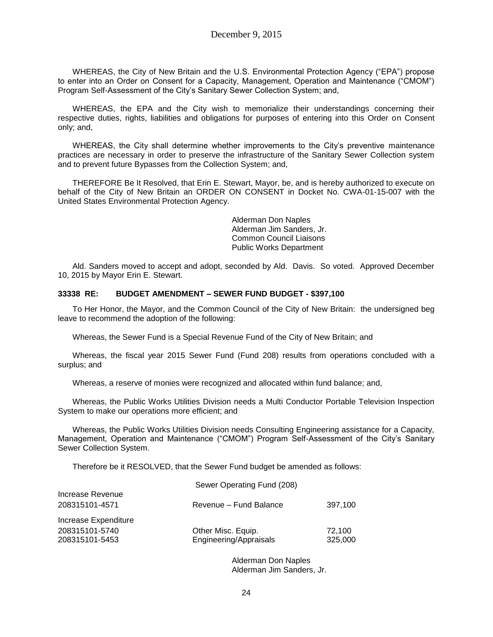WHEREAS, the City of New Britain and the U.S. Environmental Protection Agency ("EPA") propose to enter into an Order on Consent for a Capacity, Management, Operation and Maintenance ("CMOM") Program Self-Assessment of the City's Sanitary Sewer Collection System; and,

WHEREAS, the EPA and the City wish to memorialize their understandings concerning their respective duties, rights, liabilities and obligations for purposes of entering into this Order on Consent only; and,

WHEREAS, the City shall determine whether improvements to the City's preventive maintenance practices are necessary in order to preserve the infrastructure of the Sanitary Sewer Collection system and to prevent future Bypasses from the Collection System; and,

THEREFORE Be It Resolved, that Erin E. Stewart, Mayor, be, and is hereby authorized to execute on behalf of the City of New Britain an ORDER ON CONSENT in Docket No. CWA-01-15-007 with the United States Environmental Protection Agency.

> Alderman Don Naples Alderman Jim Sanders, Jr. Common Council Liaisons Public Works Department

Ald. Sanders moved to accept and adopt, seconded by Ald. Davis. So voted. Approved December 10, 2015 by Mayor Erin E. Stewart.

### **33338 RE: BUDGET AMENDMENT – SEWER FUND BUDGET - \$397,100**

To Her Honor, the Mayor, and the Common Council of the City of New Britain: the undersigned beg leave to recommend the adoption of the following:

Whereas, the Sewer Fund is a Special Revenue Fund of the City of New Britain; and

Whereas, the fiscal year 2015 Sewer Fund (Fund 208) results from operations concluded with a surplus; and

Whereas, a reserve of monies were recognized and allocated within fund balance; and,

Whereas, the Public Works Utilities Division needs a Multi Conductor Portable Television Inspection System to make our operations more efficient; and

Whereas, the Public Works Utilities Division needs Consulting Engineering assistance for a Capacity, Management, Operation and Maintenance ("CMOM") Program Self-Assessment of the City's Sanitary Sewer Collection System.

Therefore be it RESOLVED, that the Sewer Fund budget be amended as follows:

|                                    | Sewer Operating Fund (208)                   |                   |
|------------------------------------|----------------------------------------------|-------------------|
| Increase Revenue<br>208315101-4571 | Revenue - Fund Balance                       | 397,100           |
| Increase Expenditure               |                                              |                   |
| 208315101-5740<br>208315101-5453   | Other Misc. Equip.<br>Engineering/Appraisals | 72,100<br>325,000 |

Alderman Don Naples Alderman Jim Sanders, Jr.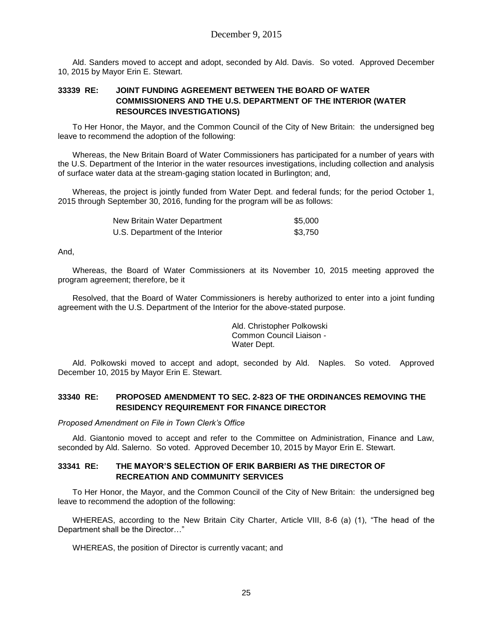Ald. Sanders moved to accept and adopt, seconded by Ald. Davis. So voted. Approved December 10, 2015 by Mayor Erin E. Stewart.

## **33339 RE: JOINT FUNDING AGREEMENT BETWEEN THE BOARD OF WATER COMMISSIONERS AND THE U.S. DEPARTMENT OF THE INTERIOR (WATER RESOURCES INVESTIGATIONS)**

To Her Honor, the Mayor, and the Common Council of the City of New Britain: the undersigned beg leave to recommend the adoption of the following:

Whereas, the New Britain Board of Water Commissioners has participated for a number of years with the U.S. Department of the Interior in the water resources investigations, including collection and analysis of surface water data at the stream-gaging station located in Burlington; and,

Whereas, the project is jointly funded from Water Dept. and federal funds; for the period October 1, 2015 through September 30, 2016, funding for the program will be as follows:

| New Britain Water Department    | \$5,000 |
|---------------------------------|---------|
| U.S. Department of the Interior | \$3,750 |

And,

Whereas, the Board of Water Commissioners at its November 10, 2015 meeting approved the program agreement; therefore, be it

Resolved, that the Board of Water Commissioners is hereby authorized to enter into a joint funding agreement with the U.S. Department of the Interior for the above-stated purpose.

> Ald. Christopher Polkowski Common Council Liaison - Water Dept.

Ald. Polkowski moved to accept and adopt, seconded by Ald. Naples. So voted. Approved December 10, 2015 by Mayor Erin E. Stewart.

### **33340 RE: PROPOSED AMENDMENT TO SEC. 2-823 OF THE ORDINANCES REMOVING THE RESIDENCY REQUIREMENT FOR FINANCE DIRECTOR**

### *Proposed Amendment on File in Town Clerk's Office*

Ald. Giantonio moved to accept and refer to the Committee on Administration, Finance and Law, seconded by Ald. Salerno. So voted. Approved December 10, 2015 by Mayor Erin E. Stewart.

### **33341 RE: THE MAYOR'S SELECTION OF ERIK BARBIERI AS THE DIRECTOR OF RECREATION AND COMMUNITY SERVICES**

To Her Honor, the Mayor, and the Common Council of the City of New Britain: the undersigned beg leave to recommend the adoption of the following:

WHEREAS, according to the New Britain City Charter, Article VIII, 8-6 (a) (1), "The head of the Department shall be the Director…"

WHEREAS, the position of Director is currently vacant; and